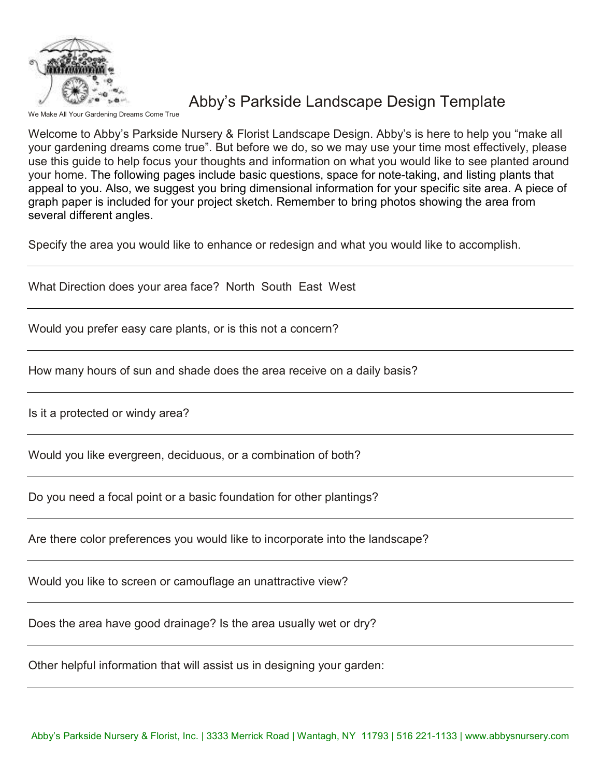

#### Abby's Parkside Landscape Design Template

ke All Your Gardening Dreams Come True

Welcome to Abby's Parkside Nursery & Florist Landscape Design. Abby's is here to help you "make all your gardening dreams come true". But before we do, so we may use your time most effectively, please use this guide to help focus your thoughts and information on what you would like to see planted around your home. The following pages include basic questions, space for note-taking, and listing plants that appeal to you. Also, we suggest you bring dimensional information for your specific site area. A piece of graph paper is included for your project sketch. Remember to bring photos showing the area from several different angles.

Specify the area you would like to enhance or redesign and what you would like to accomplish.

What Direction does your area face? North South East West

Would you prefer easy care plants, or is this not a concern?

How many hours of sun and shade does the area receive on a daily basis?

Is it a protected or windy area?

Would you like evergreen, deciduous, or a combination of both?

Do you need a focal point or a basic foundation for other plantings?

Are there color preferences you would like to incorporate into the landscape?

Would you like to screen or camouflage an unattractive view?

Does the area have good drainage? Is the area usually wet or dry?

Other helpful information that will assist us in designing your garden: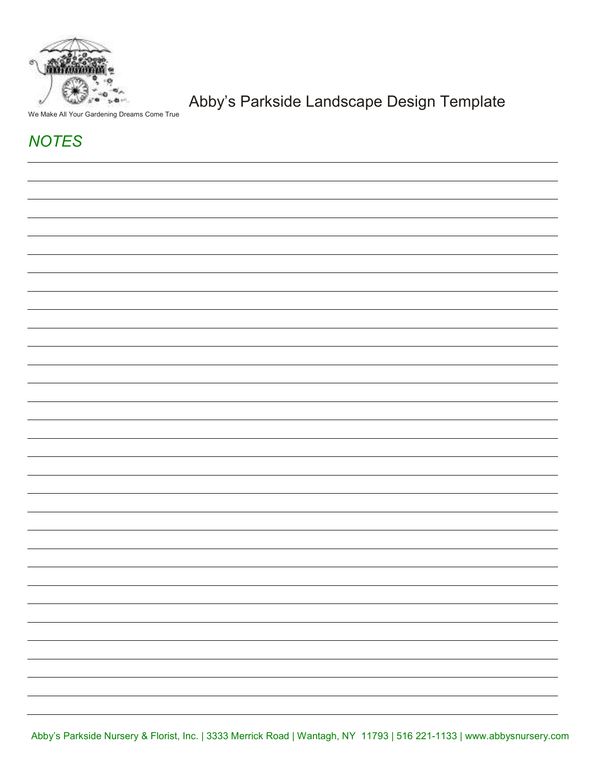

Abby's Parkside Landscape Design Template

We Make All Your Gardening Dreams Come True

### **NOTES**

Abby's Parkside Nursery & Florist, Inc. | 3333 Merrick Road | Wantagh, NY 11793 | 516 221-1133 | www.abbysnursery.com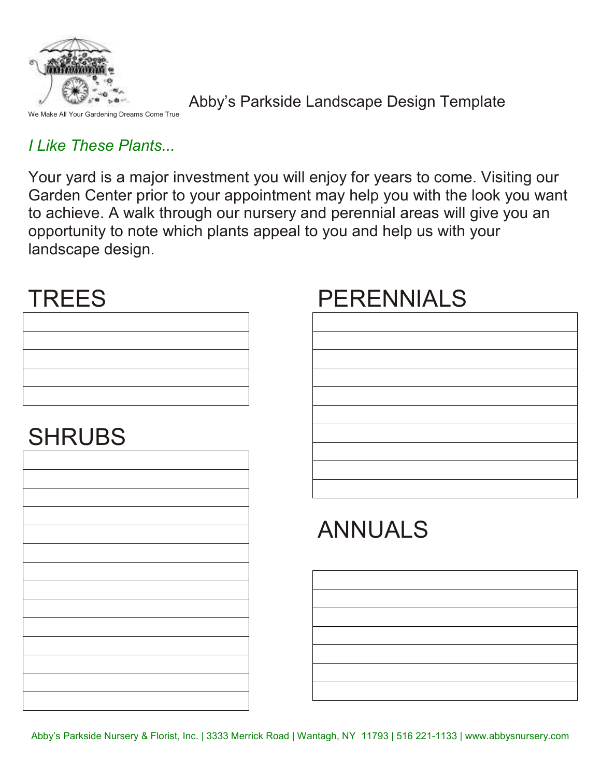

Dreams Come True

Abby's Parkside Landscape Design Template

### I Like These Plants...

Your yard is a major investment you will enjoy for years to come. Visiting our Garden Center prior to your appointment may help you with the look you want to achieve. A walk through our nursery and perennial areas will give you an opportunity to note which plants appeal to you and help us with your landscape design.

### **TREES**

| <u> 1989 - Johann Stoff, amerikansk politiker (d. 1989)</u>                                                           |  |  |
|-----------------------------------------------------------------------------------------------------------------------|--|--|
| <u> 1989 - Johann Stoff, deutscher Stoffen und der Stoffen und der Stoffen und der Stoffen und der Stoffen und de</u> |  |  |
|                                                                                                                       |  |  |
|                                                                                                                       |  |  |

## **SHRUBS**

### PERENNIALS

# ANNUALS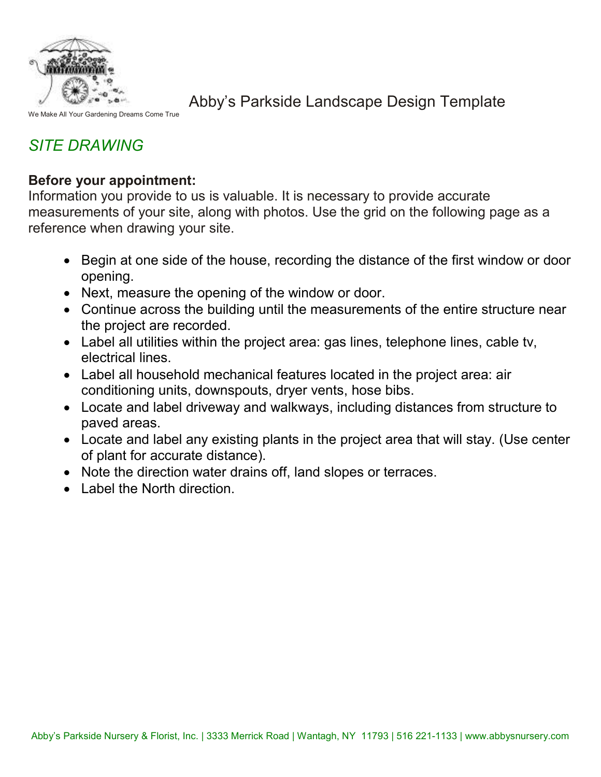

We Make All Your Gardening Dreams Come True

Abby's Parkside Landscape Design Template

### SITE DRAWING

#### Before your appointment:

Information you provide to us is valuable. It is necessary to provide accurate measurements of your site, along with photos. Use the grid on the following page as a reference when drawing your site.

- Begin at one side of the house, recording the distance of the first window or door opening.
- Next, measure the opening of the window or door.
- Continue across the building until the measurements of the entire structure near the project are recorded.
- Label all utilities within the project area: gas lines, telephone lines, cable tv, electrical lines.
- Label all household mechanical features located in the project area: air conditioning units, downspouts, dryer vents, hose bibs.
- Locate and label driveway and walkways, including distances from structure to paved areas.
- Locate and label any existing plants in the project area that will stay. (Use center of plant for accurate distance).
- Note the direction water drains off, land slopes or terraces.
- Label the North direction.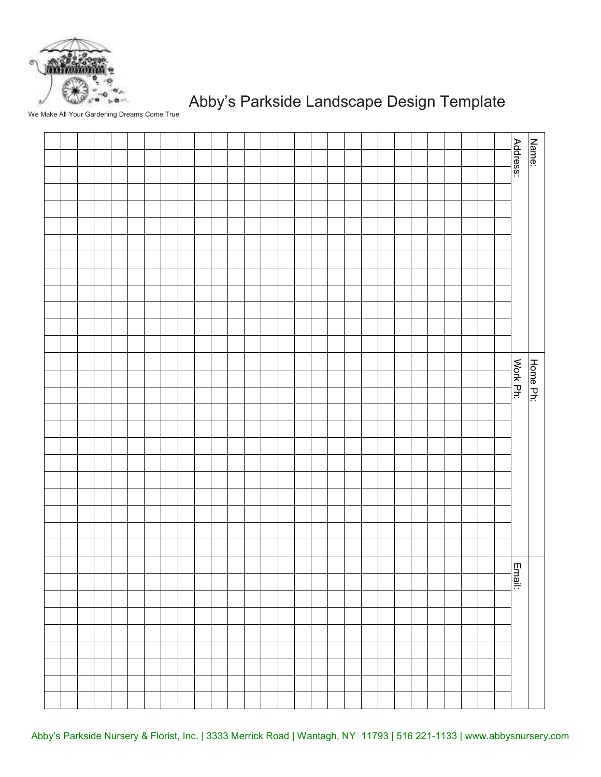

### Abby's Parkside Landscape Design Template

We Make All Your Gardening Dreams Come True